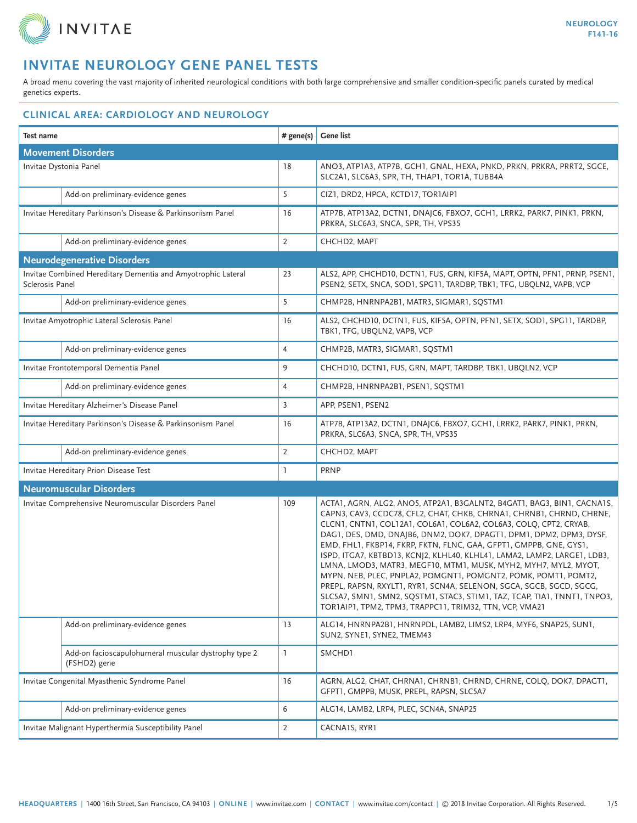

A broad menu covering the vast majority of inherited neurological conditions with both large comprehensive and smaller condition-specific panels curated by medical genetics experts.

| Test name                                                                       |                                                                      | # gene(s)      | Gene list                                                                                                                                                                                                                                                                                                                                                                                                                                                                                                                                                                                                                                                                                                                                                                                        |  |
|---------------------------------------------------------------------------------|----------------------------------------------------------------------|----------------|--------------------------------------------------------------------------------------------------------------------------------------------------------------------------------------------------------------------------------------------------------------------------------------------------------------------------------------------------------------------------------------------------------------------------------------------------------------------------------------------------------------------------------------------------------------------------------------------------------------------------------------------------------------------------------------------------------------------------------------------------------------------------------------------------|--|
| <b>Movement Disorders</b>                                                       |                                                                      |                |                                                                                                                                                                                                                                                                                                                                                                                                                                                                                                                                                                                                                                                                                                                                                                                                  |  |
| Invitae Dystonia Panel                                                          |                                                                      | 18             | ANO3, ATP1A3, ATP7B, GCH1, GNAL, HEXA, PNKD, PRKN, PRKRA, PRRT2, SGCE,<br>SLC2A1, SLC6A3, SPR, TH, THAP1, TOR1A, TUBB4A                                                                                                                                                                                                                                                                                                                                                                                                                                                                                                                                                                                                                                                                          |  |
|                                                                                 | Add-on preliminary-evidence genes                                    | 5              | CIZ1, DRD2, HPCA, KCTD17, TOR1AIP1                                                                                                                                                                                                                                                                                                                                                                                                                                                                                                                                                                                                                                                                                                                                                               |  |
| Invitae Hereditary Parkinson's Disease & Parkinsonism Panel                     |                                                                      | 16             | ATP7B, ATP13A2, DCTN1, DNAJC6, FBXO7, GCH1, LRRK2, PARK7, PINK1, PRKN,<br>PRKRA, SLC6A3, SNCA, SPR, TH, VPS35                                                                                                                                                                                                                                                                                                                                                                                                                                                                                                                                                                                                                                                                                    |  |
|                                                                                 | Add-on preliminary-evidence genes                                    | $\overline{2}$ | CHCHD2, MAPT                                                                                                                                                                                                                                                                                                                                                                                                                                                                                                                                                                                                                                                                                                                                                                                     |  |
|                                                                                 | <b>Neurodegenerative Disorders</b>                                   |                |                                                                                                                                                                                                                                                                                                                                                                                                                                                                                                                                                                                                                                                                                                                                                                                                  |  |
| Invitae Combined Hereditary Dementia and Amyotrophic Lateral<br>Sclerosis Panel |                                                                      | 23             | ALS2, APP, CHCHD10, DCTN1, FUS, GRN, KIF5A, MAPT, OPTN, PFN1, PRNP, PSEN1,<br>PSEN2, SETX, SNCA, SOD1, SPG11, TARDBP, TBK1, TFG, UBQLN2, VAPB, VCP                                                                                                                                                                                                                                                                                                                                                                                                                                                                                                                                                                                                                                               |  |
|                                                                                 | Add-on preliminary-evidence genes                                    | 5              | CHMP2B, HNRNPA2B1, MATR3, SIGMAR1, SQSTM1                                                                                                                                                                                                                                                                                                                                                                                                                                                                                                                                                                                                                                                                                                                                                        |  |
| Invitae Amyotrophic Lateral Sclerosis Panel                                     |                                                                      | 16             | ALS2, CHCHD10, DCTN1, FUS, KIF5A, OPTN, PFN1, SETX, SOD1, SPG11, TARDBP,<br>TBK1, TFG, UBQLN2, VAPB, VCP                                                                                                                                                                                                                                                                                                                                                                                                                                                                                                                                                                                                                                                                                         |  |
|                                                                                 | Add-on preliminary-evidence genes                                    | $\overline{4}$ | CHMP2B, MATR3, SIGMAR1, SQSTM1                                                                                                                                                                                                                                                                                                                                                                                                                                                                                                                                                                                                                                                                                                                                                                   |  |
| Invitae Frontotemporal Dementia Panel                                           |                                                                      | 9              | CHCHD10, DCTN1, FUS, GRN, MAPT, TARDBP, TBK1, UBQLN2, VCP                                                                                                                                                                                                                                                                                                                                                                                                                                                                                                                                                                                                                                                                                                                                        |  |
|                                                                                 | Add-on preliminary-evidence genes                                    | $\overline{4}$ | CHMP2B, HNRNPA2B1, PSEN1, SQSTM1                                                                                                                                                                                                                                                                                                                                                                                                                                                                                                                                                                                                                                                                                                                                                                 |  |
|                                                                                 | Invitae Hereditary Alzheimer's Disease Panel                         | $\overline{3}$ | APP, PSEN1, PSEN2                                                                                                                                                                                                                                                                                                                                                                                                                                                                                                                                                                                                                                                                                                                                                                                |  |
| Invitae Hereditary Parkinson's Disease & Parkinsonism Panel                     |                                                                      | 16             | ATP7B, ATP13A2, DCTN1, DNAJC6, FBXO7, GCH1, LRRK2, PARK7, PINK1, PRKN,<br>PRKRA, SLC6A3, SNCA, SPR, TH, VPS35                                                                                                                                                                                                                                                                                                                                                                                                                                                                                                                                                                                                                                                                                    |  |
|                                                                                 | Add-on preliminary-evidence genes                                    | $\overline{2}$ | CHCHD2, MAPT                                                                                                                                                                                                                                                                                                                                                                                                                                                                                                                                                                                                                                                                                                                                                                                     |  |
|                                                                                 | Invitae Hereditary Prion Disease Test                                | $\mathbf{1}$   | <b>PRNP</b>                                                                                                                                                                                                                                                                                                                                                                                                                                                                                                                                                                                                                                                                                                                                                                                      |  |
|                                                                                 | <b>Neuromuscular Disorders</b>                                       |                |                                                                                                                                                                                                                                                                                                                                                                                                                                                                                                                                                                                                                                                                                                                                                                                                  |  |
| Invitae Comprehensive Neuromuscular Disorders Panel                             |                                                                      | 109            | ACTA1, AGRN, ALG2, ANO5, ATP2A1, B3GALNT2, B4GAT1, BAG3, BIN1, CACNA1S,<br>CAPN3, CAV3, CCDC78, CFL2, CHAT, CHKB, CHRNA1, CHRNB1, CHRND, CHRNE,<br>CLCN1, CNTN1, COL12A1, COL6A1, COL6A2, COL6A3, COLQ, CPT2, CRYAB,<br>DAG1, DES, DMD, DNAJB6, DNM2, DOK7, DPAGT1, DPM1, DPM2, DPM3, DYSF,<br>EMD, FHL1, FKBP14, FKRP, FKTN, FLNC, GAA, GFPT1, GMPPB, GNE, GYS1,<br>ISPD, ITGA7, KBTBD13, KCNJ2, KLHL40, KLHL41, LAMA2, LAMP2, LARGE1, LDB3,<br>LMNA, LMOD3, MATR3, MEGF10, MTM1, MUSK, MYH2, MYH7, MYL2, MYOT,<br>MYPN, NEB, PLEC, PNPLA2, POMGNT1, POMGNT2, POMK, POMT1, POMT2,<br>PREPL, RAPSN, RXYLT1, RYR1, SCN4A, SELENON, SGCA, SGCB, SGCD, SGCG,<br>SLC5A7, SMN1, SMN2, SQSTM1, STAC3, STIM1, TAZ, TCAP, TIA1, TNNT1, TNPO3,<br>TOR1AIP1, TPM2, TPM3, TRAPPC11, TRIM32, TTN, VCP, VMA21 |  |
|                                                                                 | Add-on preliminary-evidence genes                                    | 13             | ALG14, HNRNPA2B1, HNRNPDL, LAMB2, LIMS2, LRP4, MYF6, SNAP25, SUN1,<br>SUN2, SYNE1, SYNE2, TMEM43                                                                                                                                                                                                                                                                                                                                                                                                                                                                                                                                                                                                                                                                                                 |  |
|                                                                                 | Add-on facioscapulohumeral muscular dystrophy type 2<br>(FSHD2) gene | $\mathbf{I}$   | SMCHD1                                                                                                                                                                                                                                                                                                                                                                                                                                                                                                                                                                                                                                                                                                                                                                                           |  |
| Invitae Congenital Myasthenic Syndrome Panel                                    |                                                                      | 16             | AGRN, ALG2, CHAT, CHRNA1, CHRNB1, CHRND, CHRNE, COLQ, DOK7, DPAGT1,<br>GFPT1, GMPPB, MUSK, PREPL, RAPSN, SLC5A7                                                                                                                                                                                                                                                                                                                                                                                                                                                                                                                                                                                                                                                                                  |  |
|                                                                                 | Add-on preliminary-evidence genes                                    | 6              | ALG14, LAMB2, LRP4, PLEC, SCN4A, SNAP25                                                                                                                                                                                                                                                                                                                                                                                                                                                                                                                                                                                                                                                                                                                                                          |  |
| Invitae Malignant Hyperthermia Susceptibility Panel                             |                                                                      | $\overline{2}$ | CACNA1S, RYR1                                                                                                                                                                                                                                                                                                                                                                                                                                                                                                                                                                                                                                                                                                                                                                                    |  |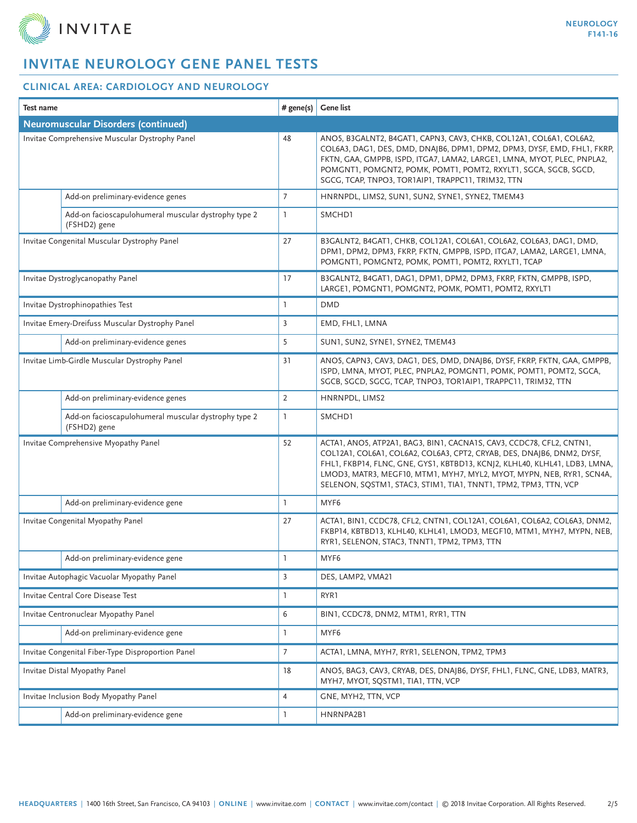

| <b>Test name</b>                                  |                                                                      | # gene(s)       | <b>Gene list</b>                                                                                                                                                                                                                                                                                                                                                          |  |  |
|---------------------------------------------------|----------------------------------------------------------------------|-----------------|---------------------------------------------------------------------------------------------------------------------------------------------------------------------------------------------------------------------------------------------------------------------------------------------------------------------------------------------------------------------------|--|--|
| <b>Neuromuscular Disorders (continued)</b>        |                                                                      |                 |                                                                                                                                                                                                                                                                                                                                                                           |  |  |
| Invitae Comprehensive Muscular Dystrophy Panel    |                                                                      | 48              | ANO5, B3GALNT2, B4GAT1, CAPN3, CAV3, CHKB, COL12A1, COL6A1, COL6A2,<br>COL6A3, DAG1, DES, DMD, DNAJB6, DPM1, DPM2, DPM3, DYSF, EMD, FHL1, FKRP,<br>FKTN, GAA, GMPPB, ISPD, ITGA7, LAMA2, LARGE1, LMNA, MYOT, PLEC, PNPLA2,<br>POMGNT1, POMGNT2, POMK, POMT1, POMT2, RXYLT1, SGCA, SGCB, SGCD,<br>SGCG, TCAP, TNPO3, TOR1AIP1, TRAPPC11, TRIM32, TTN                       |  |  |
|                                                   | Add-on preliminary-evidence genes                                    | $7\overline{ }$ | HNRNPDL, LIMS2, SUN1, SUN2, SYNE1, SYNE2, TMEM43                                                                                                                                                                                                                                                                                                                          |  |  |
|                                                   | Add-on facioscapulohumeral muscular dystrophy type 2<br>(FSHD2) gene | $\mathbf{1}$    | SMCHD1                                                                                                                                                                                                                                                                                                                                                                    |  |  |
| Invitae Congenital Muscular Dystrophy Panel       |                                                                      | 27              | B3GALNT2, B4GAT1, CHKB, COL12A1, COL6A1, COL6A2, COL6A3, DAG1, DMD,<br>DPM1, DPM2, DPM3, FKRP, FKTN, GMPPB, ISPD, ITGA7, LAMA2, LARGE1, LMNA,<br>POMGNT1, POMGNT2, POMK, POMT1, POMT2, RXYLT1, TCAP                                                                                                                                                                       |  |  |
| Invitae Dystroglycanopathy Panel                  |                                                                      | 17              | B3GALNT2, B4GAT1, DAG1, DPM1, DPM2, DPM3, FKRP, FKTN, GMPPB, ISPD,<br>LARGE1, POMGNT1, POMGNT2, POMK, POMT1, POMT2, RXYLT1                                                                                                                                                                                                                                                |  |  |
| Invitae Dystrophinopathies Test                   |                                                                      | L               | <b>DMD</b>                                                                                                                                                                                                                                                                                                                                                                |  |  |
| Invitae Emery-Dreifuss Muscular Dystrophy Panel   |                                                                      | 3               | EMD, FHL1, LMNA                                                                                                                                                                                                                                                                                                                                                           |  |  |
|                                                   | Add-on preliminary-evidence genes                                    | 5               | SUN1, SUN2, SYNE1, SYNE2, TMEM43                                                                                                                                                                                                                                                                                                                                          |  |  |
| Invitae Limb-Girdle Muscular Dystrophy Panel      |                                                                      | 31              | ANO5, CAPN3, CAV3, DAG1, DES, DMD, DNAJB6, DYSF, FKRP, FKTN, GAA, GMPPB,<br>ISPD, LMNA, MYOT, PLEC, PNPLA2, POMGNT1, POMK, POMT1, POMT2, SGCA,<br>SGCB, SGCD, SGCG, TCAP, TNPO3, TOR1AIP1, TRAPPC11, TRIM32, TTN                                                                                                                                                          |  |  |
|                                                   | Add-on preliminary-evidence genes                                    | $\overline{2}$  | HNRNPDL, LIMS2                                                                                                                                                                                                                                                                                                                                                            |  |  |
|                                                   | Add-on facioscapulohumeral muscular dystrophy type 2<br>(FSHD2) gene | $\mathbf{1}$    | SMCHD1                                                                                                                                                                                                                                                                                                                                                                    |  |  |
| Invitae Comprehensive Myopathy Panel              |                                                                      | 52              | ACTA1, ANO5, ATP2A1, BAG3, BIN1, CACNA1S, CAV3, CCDC78, CFL2, CNTN1,<br>COL12A1, COL6A1, COL6A2, COL6A3, CPT2, CRYAB, DES, DNAJB6, DNM2, DYSF,<br>FHL1, FKBP14, FLNC, GNE, GYS1, KBTBD13, KCNJ2, KLHL40, KLHL41, LDB3, LMNA,<br>LMOD3, MATR3, MEGF10, MTM1, MYH7, MYL2, MYOT, MYPN, NEB, RYR1, SCN4A,<br>SELENON, SQSTM1, STAC3, STIM1, TIA1, TNNT1, TPM2, TPM3, TTN, VCP |  |  |
|                                                   | Add-on preliminary-evidence gene                                     | 1               | MYF6                                                                                                                                                                                                                                                                                                                                                                      |  |  |
| Invitae Congenital Myopathy Panel                 |                                                                      | 27              | ACTA1, BIN1, CCDC78, CFL2, CNTN1, COL12A1, COL6A1, COL6A2, COL6A3, DNM2,<br>FKBP14, KBTBD13, KLHL40, KLHL41, LMOD3, MEGF10, MTM1, MYH7, MYPN, NEB,<br>RYR1, SELENON, STAC3, TNNT1, TPM2, TPM3, TTN                                                                                                                                                                        |  |  |
|                                                   | Add-on preliminary-evidence gene                                     | 1               | MYF6                                                                                                                                                                                                                                                                                                                                                                      |  |  |
| Invitae Autophagic Vacuolar Myopathy Panel        |                                                                      | $\overline{3}$  | DES, LAMP2, VMA21                                                                                                                                                                                                                                                                                                                                                         |  |  |
| Invitae Central Core Disease Test                 |                                                                      | $\mathbb{I}$    | RYR1                                                                                                                                                                                                                                                                                                                                                                      |  |  |
| Invitae Centronuclear Myopathy Panel              |                                                                      | 6               | BIN1, CCDC78, DNM2, MTM1, RYR1, TTN                                                                                                                                                                                                                                                                                                                                       |  |  |
|                                                   | Add-on preliminary-evidence gene                                     | 1               | MYF6                                                                                                                                                                                                                                                                                                                                                                      |  |  |
| Invitae Congenital Fiber-Type Disproportion Panel |                                                                      | $\overline{7}$  | ACTA1, LMNA, MYH7, RYR1, SELENON, TPM2, TPM3                                                                                                                                                                                                                                                                                                                              |  |  |
| Invitae Distal Myopathy Panel                     |                                                                      | 18              | ANO5, BAG3, CAV3, CRYAB, DES, DNAJB6, DYSF, FHL1, FLNC, GNE, LDB3, MATR3,<br>MYH7, MYOT, SQSTM1, TIA1, TTN, VCP                                                                                                                                                                                                                                                           |  |  |
| Invitae Inclusion Body Myopathy Panel             |                                                                      | $\overline{4}$  | GNE, MYH2, TTN, VCP                                                                                                                                                                                                                                                                                                                                                       |  |  |
|                                                   | Add-on preliminary-evidence gene                                     | ı               | HNRNPA2B1                                                                                                                                                                                                                                                                                                                                                                 |  |  |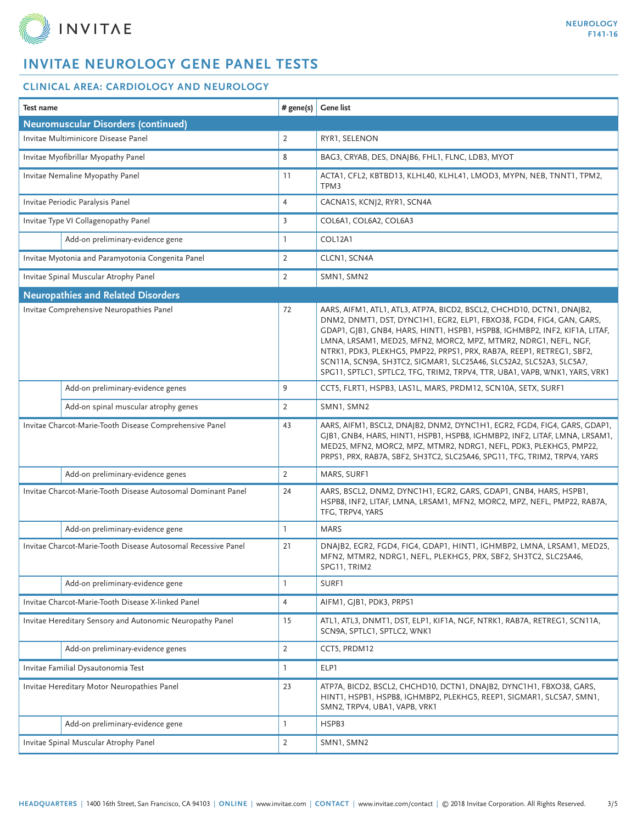

| <b>Test name</b><br># gene(s)                                 |                | <b>Gene list</b>                                                                                                                                                                                                                                                                                                                                                                                                                                                                                                               |  |  |  |
|---------------------------------------------------------------|----------------|--------------------------------------------------------------------------------------------------------------------------------------------------------------------------------------------------------------------------------------------------------------------------------------------------------------------------------------------------------------------------------------------------------------------------------------------------------------------------------------------------------------------------------|--|--|--|
| <b>Neuromuscular Disorders (continued)</b>                    |                |                                                                                                                                                                                                                                                                                                                                                                                                                                                                                                                                |  |  |  |
| Invitae Multiminicore Disease Panel                           |                | RYR1, SELENON                                                                                                                                                                                                                                                                                                                                                                                                                                                                                                                  |  |  |  |
| Invitae Myofibrillar Myopathy Panel                           |                | BAG3, CRYAB, DES, DNAJB6, FHL1, FLNC, LDB3, MYOT                                                                                                                                                                                                                                                                                                                                                                                                                                                                               |  |  |  |
| Invitae Nemaline Myopathy Panel                               |                | ACTA1, CFL2, KBTBD13, KLHL40, KLHL41, LMOD3, MYPN, NEB, TNNT1, TPM2,<br>TPM3                                                                                                                                                                                                                                                                                                                                                                                                                                                   |  |  |  |
| Invitae Periodic Paralysis Panel                              |                | CACNA1S, KCNJ2, RYR1, SCN4A                                                                                                                                                                                                                                                                                                                                                                                                                                                                                                    |  |  |  |
| Invitae Type VI Collagenopathy Panel                          | $\overline{3}$ | COL6A1, COL6A2, COL6A3                                                                                                                                                                                                                                                                                                                                                                                                                                                                                                         |  |  |  |
| Add-on preliminary-evidence gene                              | $\mathbf{1}$   | COL12A1                                                                                                                                                                                                                                                                                                                                                                                                                                                                                                                        |  |  |  |
| Invitae Myotonia and Paramyotonia Congenita Panel             | $\overline{2}$ | CLCN1, SCN4A                                                                                                                                                                                                                                                                                                                                                                                                                                                                                                                   |  |  |  |
| Invitae Spinal Muscular Atrophy Panel                         | $\overline{2}$ | SMN1, SMN2                                                                                                                                                                                                                                                                                                                                                                                                                                                                                                                     |  |  |  |
| <b>Neuropathies and Related Disorders</b>                     |                |                                                                                                                                                                                                                                                                                                                                                                                                                                                                                                                                |  |  |  |
| Invitae Comprehensive Neuropathies Panel                      |                | AARS, AIFM1, ATL1, ATL3, ATP7A, BICD2, BSCL2, CHCHD10, DCTN1, DNAJB2,<br>DNM2, DNMT1, DST, DYNC1H1, EGR2, ELP1, FBXO38, FGD4, FIG4, GAN, GARS,<br>GDAP1, GJB1, GNB4, HARS, HINT1, HSPB1, HSPB8, IGHMBP2, INF2, KIF1A, LITAF,<br>LMNA, LRSAM1, MED25, MFN2, MORC2, MPZ, MTMR2, NDRG1, NEFL, NGF,<br>NTRK1, PDK3, PLEKHG5, PMP22, PRPS1, PRX, RAB7A, REEP1, RETREG1, SBF2,<br>SCN11A, SCN9A, SH3TC2, SIGMAR1, SLC25A46, SLC52A2, SLC52A3, SLC5A7,<br>SPG11, SPTLC1, SPTLC2, TFG, TRIM2, TRPV4, TTR, UBA1, VAPB, WNK1, YARS, VRK1 |  |  |  |
| Add-on preliminary-evidence genes                             | 9              | CCT5, FLRT1, HSPB3, LAS1L, MARS, PRDM12, SCN10A, SETX, SURF1                                                                                                                                                                                                                                                                                                                                                                                                                                                                   |  |  |  |
| Add-on spinal muscular atrophy genes                          | $\overline{2}$ | SMN1, SMN2                                                                                                                                                                                                                                                                                                                                                                                                                                                                                                                     |  |  |  |
| Invitae Charcot-Marie-Tooth Disease Comprehensive Panel       |                | AARS, AIFM1, BSCL2, DNAJB2, DNM2, DYNC1H1, EGR2, FGD4, FIG4, GARS, GDAP1,<br>GJB1, GNB4, HARS, HINT1, HSPB1, HSPB8, IGHMBP2, INF2, LITAF, LMNA, LRSAM1,<br>MED25, MFN2, MORC2, MPZ, MTMR2, NDRG1, NEFL, PDK3, PLEKHG5, PMP22,<br>PRPS1, PRX, RAB7A, SBF2, SH3TC2, SLC25A46, SPG11, TFG, TRIM2, TRPV4, YARS                                                                                                                                                                                                                     |  |  |  |
| Add-on preliminary-evidence genes                             | 2              | MARS, SURF1                                                                                                                                                                                                                                                                                                                                                                                                                                                                                                                    |  |  |  |
| Invitae Charcot-Marie-Tooth Disease Autosomal Dominant Panel  |                | AARS, BSCL2, DNM2, DYNC1H1, EGR2, GARS, GDAP1, GNB4, HARS, HSPB1,<br>HSPB8, INF2, LITAF, LMNA, LRSAM1, MFN2, MORC2, MPZ, NEFL, PMP22, RAB7A,<br>TFG, TRPV4, YARS                                                                                                                                                                                                                                                                                                                                                               |  |  |  |
| Add-on preliminary-evidence gene                              | $\mathbf{1}$   | <b>MARS</b>                                                                                                                                                                                                                                                                                                                                                                                                                                                                                                                    |  |  |  |
| Invitae Charcot-Marie-Tooth Disease Autosomal Recessive Panel |                | DNAJB2, EGR2, FGD4, FIG4, GDAP1, HINT1, IGHMBP2, LMNA, LRSAM1, MED25,<br>MFN2, MTMR2, NDRG1, NEFL, PLEKHG5, PRX, SBF2, SH3TC2, SLC25A46,<br>SPG11, TRIM2                                                                                                                                                                                                                                                                                                                                                                       |  |  |  |
| Add-on preliminary-evidence gene                              | 1              | SURF1                                                                                                                                                                                                                                                                                                                                                                                                                                                                                                                          |  |  |  |
| Invitae Charcot-Marie-Tooth Disease X-linked Panel            |                | AIFM1, GJB1, PDK3, PRPS1                                                                                                                                                                                                                                                                                                                                                                                                                                                                                                       |  |  |  |
| Invitae Hereditary Sensory and Autonomic Neuropathy Panel     |                | ATL1, ATL3, DNMT1, DST, ELP1, KIF1A, NGF, NTRK1, RAB7A, RETREG1, SCN11A,<br>SCN9A, SPTLC1, SPTLC2, WNK1                                                                                                                                                                                                                                                                                                                                                                                                                        |  |  |  |
| Add-on preliminary-evidence genes                             | $\overline{2}$ | CCT5, PRDM12                                                                                                                                                                                                                                                                                                                                                                                                                                                                                                                   |  |  |  |
| Invitae Familial Dysautonomia Test                            |                | ELP1                                                                                                                                                                                                                                                                                                                                                                                                                                                                                                                           |  |  |  |
| Invitae Hereditary Motor Neuropathies Panel                   |                | ATP7A, BICD2, BSCL2, CHCHD10, DCTN1, DNAJB2, DYNC1H1, FBXO38, GARS,<br>HINT1, HSPB1, HSPB8, IGHMBP2, PLEKHG5, REEP1, SIGMAR1, SLC5A7, SMN1,<br>SMN2, TRPV4, UBA1, VAPB, VRK1                                                                                                                                                                                                                                                                                                                                                   |  |  |  |
| Add-on preliminary-evidence gene                              | 1              | HSPB3                                                                                                                                                                                                                                                                                                                                                                                                                                                                                                                          |  |  |  |
| Invitae Spinal Muscular Atrophy Panel                         |                | SMN1, SMN2                                                                                                                                                                                                                                                                                                                                                                                                                                                                                                                     |  |  |  |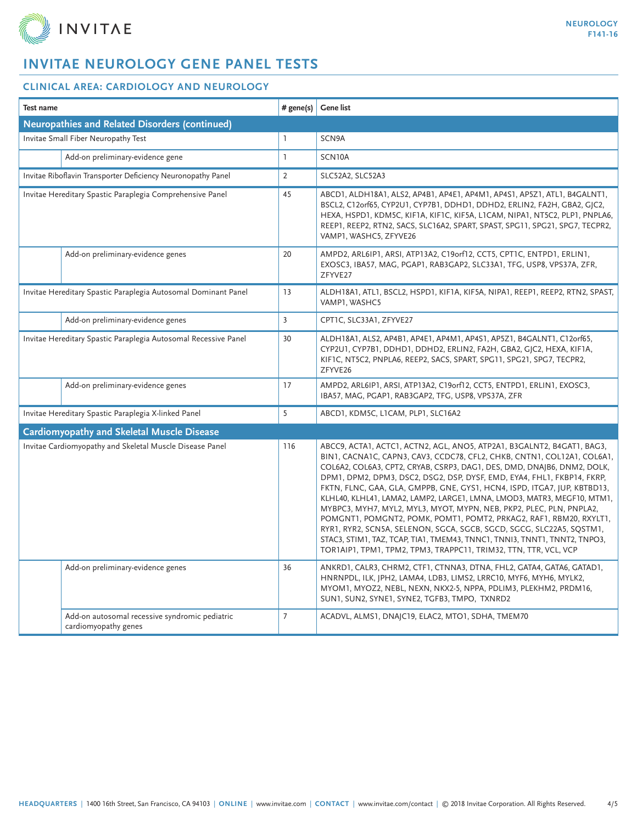

| <b>Test name</b>                                                       |                | <b>Gene list</b>                                                                                                                                                                                                                                                                                                                                                                                                                                                                                                                                                                                                                                                                                                                                                                                                                     |  |  |  |
|------------------------------------------------------------------------|----------------|--------------------------------------------------------------------------------------------------------------------------------------------------------------------------------------------------------------------------------------------------------------------------------------------------------------------------------------------------------------------------------------------------------------------------------------------------------------------------------------------------------------------------------------------------------------------------------------------------------------------------------------------------------------------------------------------------------------------------------------------------------------------------------------------------------------------------------------|--|--|--|
| <b>Neuropathies and Related Disorders (continued)</b>                  |                |                                                                                                                                                                                                                                                                                                                                                                                                                                                                                                                                                                                                                                                                                                                                                                                                                                      |  |  |  |
| Invitae Small Fiber Neuropathy Test                                    |                | SCN9A                                                                                                                                                                                                                                                                                                                                                                                                                                                                                                                                                                                                                                                                                                                                                                                                                                |  |  |  |
| Add-on preliminary-evidence gene                                       | $\mathbf{1}$   | SCN10A                                                                                                                                                                                                                                                                                                                                                                                                                                                                                                                                                                                                                                                                                                                                                                                                                               |  |  |  |
| Invitae Riboflavin Transporter Deficiency Neuronopathy Panel           |                | SLC52A2, SLC52A3                                                                                                                                                                                                                                                                                                                                                                                                                                                                                                                                                                                                                                                                                                                                                                                                                     |  |  |  |
| Invitae Hereditary Spastic Paraplegia Comprehensive Panel              |                | ABCD1, ALDH18A1, ALS2, AP4B1, AP4E1, AP4M1, AP4S1, AP5Z1, ATL1, B4GALNT1,<br>BSCL2, C12orf65, CYP2U1, CYP7B1, DDHD1, DDHD2, ERLIN2, FA2H, GBA2, GJC2,<br>HEXA, HSPD1, KDM5C, KIF1A, KIF1C, KIF5A, L1CAM, NIPA1, NT5C2, PLP1, PNPLA6,<br>REEP1, REEP2, RTN2, SACS, SLC16A2, SPART, SPAST, SPG11, SPG21, SPG7, TECPR2,<br>VAMP1, WASHC5, ZFYVE26                                                                                                                                                                                                                                                                                                                                                                                                                                                                                       |  |  |  |
| Add-on preliminary-evidence genes                                      | 20             | AMPD2, ARL6IP1, ARSI, ATP13A2, C19orf12, CCT5, CPT1C, ENTPD1, ERLIN1,<br>EXOSC3, IBA57, MAG, PGAP1, RAB3GAP2, SLC33A1, TFG, USP8, VPS37A, ZFR,<br>ZFYVE27                                                                                                                                                                                                                                                                                                                                                                                                                                                                                                                                                                                                                                                                            |  |  |  |
| Invitae Hereditary Spastic Paraplegia Autosomal Dominant Panel         |                | ALDH18A1, ATL1, BSCL2, HSPD1, KIF1A, KIF5A, NIPA1, REEP1, REEP2, RTN2, SPAST,<br>VAMP1, WASHC5                                                                                                                                                                                                                                                                                                                                                                                                                                                                                                                                                                                                                                                                                                                                       |  |  |  |
| Add-on preliminary-evidence genes                                      | $\overline{3}$ | CPT1C, SLC33A1, ZFYVE27                                                                                                                                                                                                                                                                                                                                                                                                                                                                                                                                                                                                                                                                                                                                                                                                              |  |  |  |
| Invitae Hereditary Spastic Paraplegia Autosomal Recessive Panel        |                | ALDH18A1, ALS2, AP4B1, AP4E1, AP4M1, AP4S1, AP5Z1, B4GALNT1, C12orf65,<br>CYP2U1, CYP7B1, DDHD1, DDHD2, ERLIN2, FA2H, GBA2, GJC2, HEXA, KIF1A,<br>KIFIC, NT5C2, PNPLA6, REEP2, SACS, SPART, SPG11, SPG21, SPG7, TECPR2,<br>ZFYVE26                                                                                                                                                                                                                                                                                                                                                                                                                                                                                                                                                                                                   |  |  |  |
| Add-on preliminary-evidence genes                                      | 17             | AMPD2, ARL6IP1, ARSI, ATP13A2, C19orf12, CCT5, ENTPD1, ERLIN1, EXOSC3,<br>IBA57, MAG, PGAP1, RAB3GAP2, TFG, USP8, VPS37A, ZFR                                                                                                                                                                                                                                                                                                                                                                                                                                                                                                                                                                                                                                                                                                        |  |  |  |
| Invitae Hereditary Spastic Paraplegia X-linked Panel                   | 5              | ABCD1, KDM5C, L1CAM, PLP1, SLC16A2                                                                                                                                                                                                                                                                                                                                                                                                                                                                                                                                                                                                                                                                                                                                                                                                   |  |  |  |
| <b>Cardiomyopathy and Skeletal Muscle Disease</b>                      |                |                                                                                                                                                                                                                                                                                                                                                                                                                                                                                                                                                                                                                                                                                                                                                                                                                                      |  |  |  |
| Invitae Cardiomyopathy and Skeletal Muscle Disease Panel               |                | ABCC9, ACTA1, ACTC1, ACTN2, AGL, ANO5, ATP2A1, B3GALNT2, B4GAT1, BAG3,<br>BIN1, CACNA1C, CAPN3, CAV3, CCDC78, CFL2, CHKB, CNTN1, COL12A1, COL6A1,<br>COL6A2, COL6A3, CPT2, CRYAB, CSRP3, DAG1, DES, DMD, DNAJB6, DNM2, DOLK,<br>DPM1, DPM2, DPM3, DSC2, DSG2, DSP, DYSF, EMD, EYA4, FHL1, FKBP14, FKRP,<br>FKTN, FLNC, GAA, GLA, GMPPB, GNE, GYS1, HCN4, ISPD, ITGA7, JUP, KBTBD13,<br>KLHL40, KLHL41, LAMA2, LAMP2, LARGE1, LMNA, LMOD3, MATR3, MEGF10, MTM1,<br>MYBPC3, MYH7, MYL2, MYL3, MYOT, MYPN, NEB, PKP2, PLEC, PLN, PNPLA2,<br>POMGNT1, POMGNT2, POMK, POMT1, POMT2, PRKAG2, RAF1, RBM20, RXYLT1,<br>RYR1, RYR2, SCN5A, SELENON, SGCA, SGCB, SGCD, SGCG, SLC22A5, SQSTM1,<br>STAC3, STIM1, TAZ, TCAP, TIA1, TMEM43, TNNC1, TNNI3, TNNT1, TNNT2, TNPO3,<br>TOR1AIP1, TPM1, TPM2, TPM3, TRAPPC11, TRIM32, TTN, TTR, VCL, VCP |  |  |  |
| Add-on preliminary-evidence genes                                      | 36             | ANKRD1, CALR3, CHRM2, CTF1, CTNNA3, DTNA, FHL2, GATA4, GATA6, GATAD1,<br>HNRNPDL, ILK, JPH2, LAMA4, LDB3, LIMS2, LRRC10, MYF6, MYH6, MYLK2,<br>MYOM1, MYOZ2, NEBL, NEXN, NKX2-5, NPPA, PDLIM3, PLEKHM2, PRDM16,<br>SUN1, SUN2, SYNE1, SYNE2, TGFB3, TMPO, TXNRD2                                                                                                                                                                                                                                                                                                                                                                                                                                                                                                                                                                     |  |  |  |
| Add-on autosomal recessive syndromic pediatric<br>cardiomyopathy genes | $\overline{7}$ | ACADVL, ALMS1, DNAJC19, ELAC2, MTO1, SDHA, TMEM70                                                                                                                                                                                                                                                                                                                                                                                                                                                                                                                                                                                                                                                                                                                                                                                    |  |  |  |